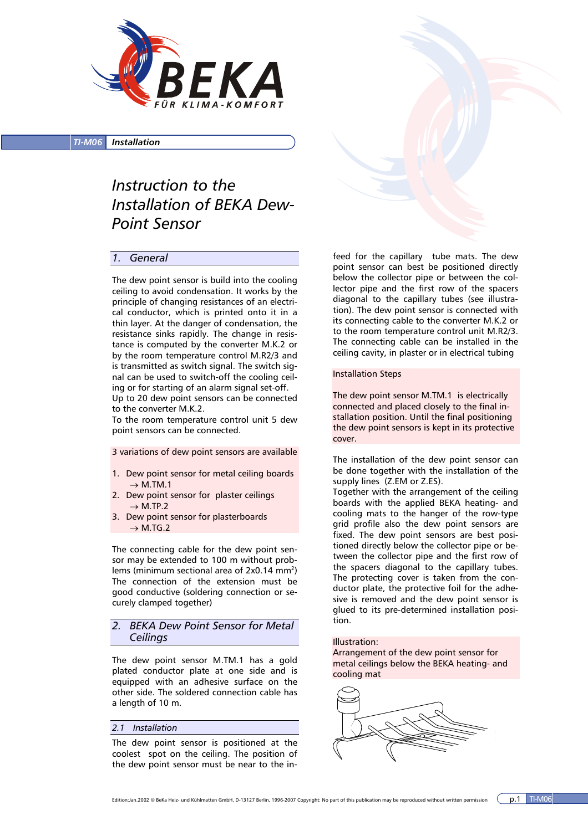

*TI-M06 Installation*

# *Instruction to the Installation of BEKA Dew-Point Sensor*

## *1. General*

The dew point sensor is build into the cooling ceiling to avoid condensation. It works by the principle of changing resistances of an electrical conductor, which is printed onto it in a thin layer. At the danger of condensation, the resistance sinks rapidly. The change in resistance is computed by the converter M.K.2 or by the room temperature control M.R2/3 and is transmitted as switch signal. The switch signal can be used to switch-off the cooling ceiling or for starting of an alarm signal set-off.

Up to 20 dew point sensors can be connected to the converter M.K.2.

To the room temperature control unit 5 dew point sensors can be connected.

3 variations of dew point sensors are available

- 1. Dew point sensor for metal ceiling boards  $\rightarrow$  M.TM.1
- 2. Dew point sensor for plaster ceilings  $\rightarrow$  M.TP.2
- 3. Dew point sensor for plasterboards  $\rightarrow$  M.TG.2

The connecting cable for the dew point sensor may be extended to 100 m without problems (minimum sectional area of  $2x0.14$  mm<sup>2</sup>) The connection of the extension must be good conductive (soldering connection or securely clamped together)

## *2. BEKA Dew Point Sensor for Metal Ceilings*

The dew point sensor M.TM.1 has a gold plated conductor plate at one side and is equipped with an adhesive surface on the other side. The soldered connection cable has a length of 10 m.

## *2.1 Installation*

The dew point sensor is positioned at the coolest spot on the ceiling. The position of the dew point sensor must be near to the in-

feed for the capillary tube mats. The dew point sensor can best be positioned directly below the collector pipe or between the collector pipe and the first row of the spacers diagonal to the capillary tubes (see illustration). The dew point sensor is connected with its connecting cable to the converter M.K.2 or to the room temperature control unit M.R2/3. The connecting cable can be installed in the ceiling cavity, in plaster or in electrical tubing

#### Installation Steps

The dew point sensor M.TM.1 is electrically connected and placed closely to the final installation position. Until the final positioning the dew point sensors is kept in its protective cover.

The installation of the dew point sensor can be done together with the installation of the supply lines (Z.EM or Z.ES).

Together with the arrangement of the ceiling boards with the applied BEKA heating- and cooling mats to the hanger of the row-type grid profile also the dew point sensors are fixed. The dew point sensors are best positioned directly below the collector pipe or between the collector pipe and the first row of the spacers diagonal to the capillary tubes. The protecting cover is taken from the conductor plate, the protective foil for the adhesive is removed and the dew point sensor is glued to its pre-determined installation position.

#### Illustration:

Arrangement of the dew point sensor for metal ceilings below the BEKA heating- and cooling mat

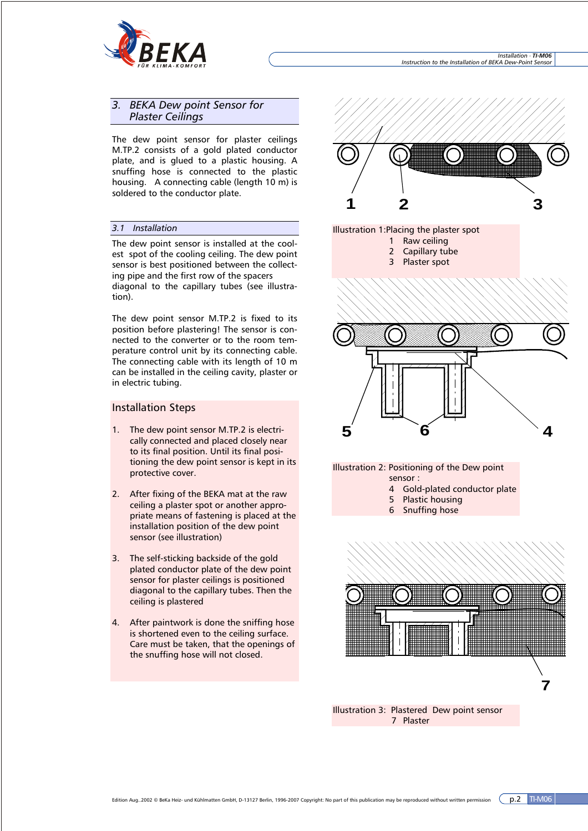

## *3. BEKA Dew point Sensor for Plaster Ceilings*

The dew point sensor for plaster ceilings M.TP.2 consists of a gold plated conductor plate, and is glued to a plastic housing. A snuffing hose is connected to the plastic housing. A connecting cable (length 10 m) is soldered to the conductor plate.

## *3.1 Installation*

The dew point sensor is installed at the coolest spot of the cooling ceiling. The dew point sensor is best positioned between the collecting pipe and the first row of the spacers diagonal to the capillary tubes (see illustration).

The dew point sensor M.TP.2 is fixed to its position before plastering! The sensor is connected to the converter or to the room temperature control unit by its connecting cable. The connecting cable with its length of 10 m can be installed in the ceiling cavity, plaster or in electric tubing.

## Installation Steps

- 1. The dew point sensor M.TP.2 is electrically connected and placed closely near to its final position. Until its final positioning the dew point sensor is kept in its protective cover.
- 2. After fixing of the BEKA mat at the raw ceiling a plaster spot or another appropriate means of fastening is placed at the installation position of the dew point sensor (see illustration)
- 3. The self-sticking backside of the gold plated conductor plate of the dew point sensor for plaster ceilings is positioned diagonal to the capillary tubes. Then the ceiling is plastered
- 4. After paintwork is done the sniffing hose is shortened even to the ceiling surface. Care must be taken, that the openings of the snuffing hose will not closed.





Illustration 3: Plastered Dew point sensor 7 Plaster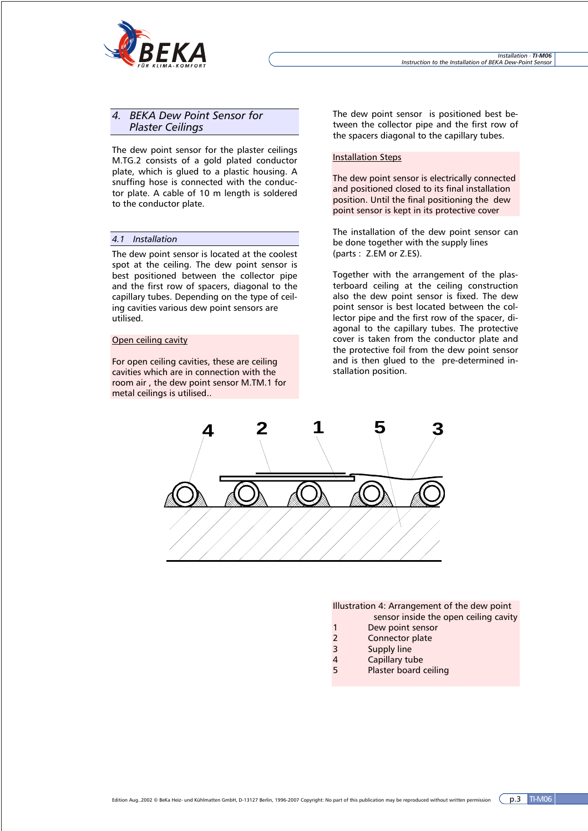

## *4. BEKA Dew Point Sensor for Plaster Ceilings*

The dew point sensor for the plaster ceilings M.TG.2 consists of a gold plated conductor plate, which is glued to a plastic housing. A snuffing hose is connected with the conductor plate. A cable of 10 m length is soldered to the conductor plate.

#### *4.1 Installation*

The dew point sensor is located at the coolest spot at the ceiling. The dew point sensor is best positioned between the collector pipe and the first row of spacers, diagonal to the capillary tubes. Depending on the type of ceiling cavities various dew point sensors are utilised.

#### Open ceiling cavity

For open ceiling cavities, these are ceiling cavities which are in connection with the room air , the dew point sensor M.TM.1 for metal ceilings is utilised..

The dew point sensor is positioned best between the collector pipe and the first row of the spacers diagonal to the capillary tubes.

## Installation Steps

The dew point sensor is electrically connected and positioned closed to its final installation position. Until the final positioning the dew point sensor is kept in its protective cover

The installation of the dew point sensor can be done together with the supply lines (parts : Z.EM or Z.ES).

Together with the arrangement of the plasterboard ceiling at the ceiling construction also the dew point sensor is fixed. The dew point sensor is best located between the collector pipe and the first row of the spacer, diagonal to the capillary tubes. The protective cover is taken from the conductor plate and the protective foil from the dew point sensor and is then glued to the pre-determined installation position.



Illustration 4: Arrangement of the dew point sensor inside the open ceiling cavity

- 1 Dew point sensor
- 
- 2 Connector plate<br>3 Supply line Supply line
- 4 Capillary tube
- 5 Plaster board ceiling